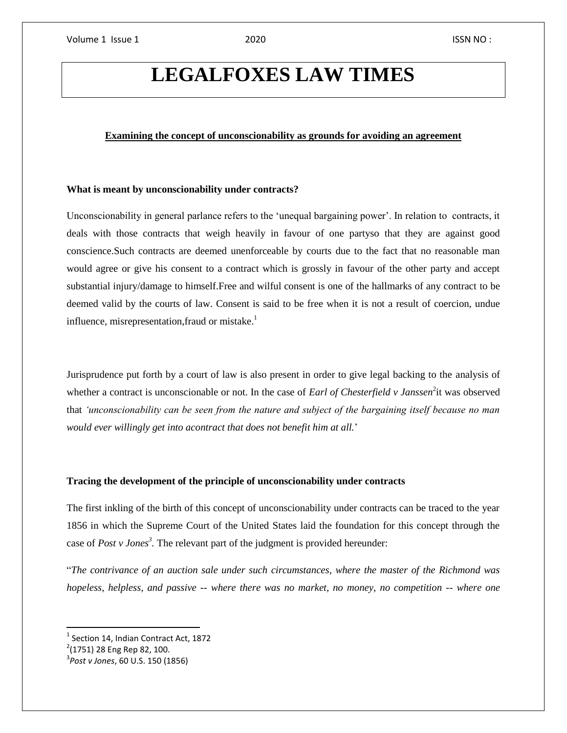# **LEGALFOXES LAW TIMES**

# **Examining the concept of unconscionability as grounds for avoiding an agreement**

## **What is meant by unconscionability under contracts?**

Unconscionability in general parlance refers to the 'unequal bargaining power'. In relation to contracts, it deals with those contracts that weigh heavily in favour of one partyso that they are against good conscience.Such contracts are deemed unenforceable by courts due to the fact that no reasonable man would agree or give his consent to a contract which is grossly in favour of the other party and accept substantial injury/damage to himself.Free and wilful consent is one of the hallmarks of any contract to be deemed valid by the courts of law. Consent is said to be free when it is not a result of coercion, undue influence, misrepresentation, fraud or mistake.<sup>1</sup>

Jurisprudence put forth by a court of law is also present in order to give legal backing to the analysis of whether a contract is unconscionable or not. In the case of *Earl of Chesterfield v Janssen*<sup>2</sup>it was observed that *'unconscionability can be seen from the nature and subject of the bargaining itself because no man would ever willingly get into acontract that does not benefit him at all.*'

## **Tracing the development of the principle of unconscionability under contracts**

The first inkling of the birth of this concept of unconscionability under contracts can be traced to the year 1856 in which the Supreme Court of the United States laid the foundation for this concept through the case of *Post v Jones<sup>3</sup> .* The relevant part of the judgment is provided hereunder:

"*The contrivance of an auction sale under such circumstances, where the master of the Richmond was hopeless, helpless, and passive -- where there was no market, no money, no competition -- where one* 

 $<sup>1</sup>$  Section 14, Indian Contract Act, 1872</sup>

<sup>&</sup>lt;sup>2</sup>(1751) 28 Eng Rep 82, 100.

<sup>3</sup> *Post v Jones*, 60 U.S. 150 (1856)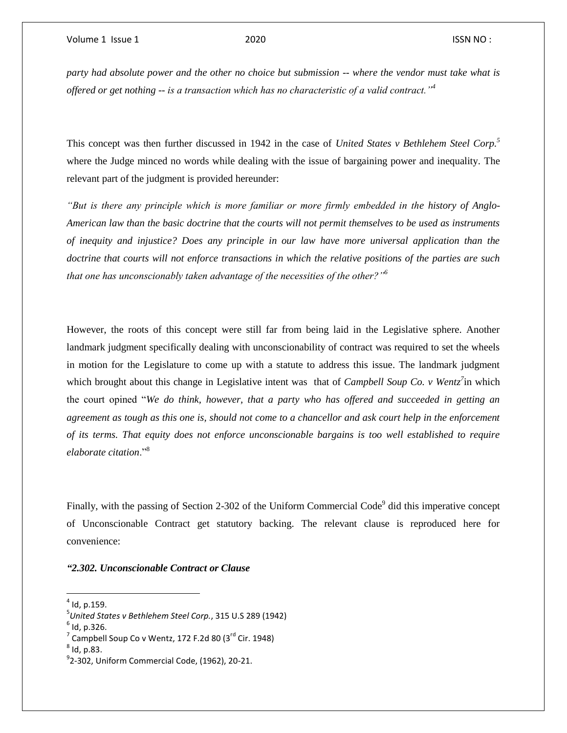*party had absolute power and the other no choice but submission -- where the vendor must take what is offered or get nothing -- is a transaction which has no characteristic of a valid contract."<sup>4</sup>*

This concept was then further discussed in 1942 in the case of *United States v Bethlehem Steel Corp.<sup>5</sup>* where the Judge minced no words while dealing with the issue of bargaining power and inequality. The relevant part of the judgment is provided hereunder:

*"But is there any principle which is more familiar or more firmly embedded in the history of Anglo-American law than the basic doctrine that the courts will not permit themselves to be used as instruments of inequity and injustice? Does any principle in our law have more universal application than the doctrine that courts will not enforce transactions in which the relative positions of the parties are such that one has unconscionably taken advantage of the necessities of the other?"<sup>6</sup>*

However, the roots of this concept were still far from being laid in the Legislative sphere. Another landmark judgment specifically dealing with unconscionability of contract was required to set the wheels in motion for the Legislature to come up with a statute to address this issue. The landmark judgment which brought about this change in Legislative intent was that of *Campbell Soup Co. v Wentz<sup>7</sup>* in which the court opined "*We do think, however, that a party who has offered and succeeded in getting an agreement as tough as this one is, should not come to a chancellor and ask court help in the enforcement of its terms. That equity does not enforce unconscionable bargains is too well established to require elaborate citation*."<sup>8</sup>

Finally, with the passing of Section 2-302 of the Uniform Commercial Code<sup>9</sup> did this imperative concept of Unconscionable Contract get statutory backing. The relevant clause is reproduced here for convenience:

*"2.302. Unconscionable Contract or Clause*

 $\overline{a}$ 

<sup>4</sup> Id, p.159.

<sup>5</sup> *United States v Bethlehem Steel Corp.*, 315 U.S 289 (1942)

<sup>6</sup> Id, p.326.

 $^7$  Campbell Soup Co v Wentz, 172 F.2d 80 (3<sup>rd</sup> Cir. 1948)

 $^8$  Id, p.83.

 $^{9}$ 2-302, Uniform Commercial Code, (1962), 20-21.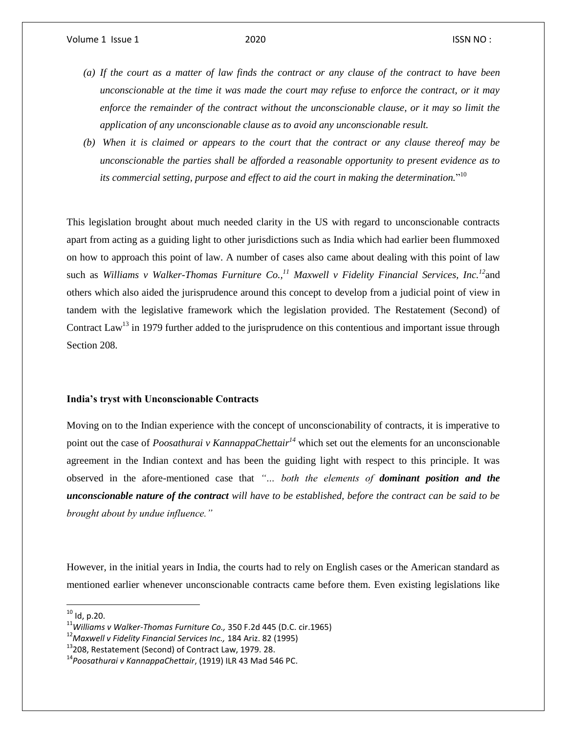- *(a) If the court as a matter of law finds the contract or any clause of the contract to have been unconscionable at the time it was made the court may refuse to enforce the contract, or it may enforce the remainder of the contract without the unconscionable clause, or it may so limit the application of any unconscionable clause as to avoid any unconscionable result.*
- *(b) When it is claimed or appears to the court that the contract or any clause thereof may be unconscionable the parties shall be afforded a reasonable opportunity to present evidence as to its commercial setting, purpose and effect to aid the court in making the determination.*" 10

This legislation brought about much needed clarity in the US with regard to unconscionable contracts apart from acting as a guiding light to other jurisdictions such as India which had earlier been flummoxed on how to approach this point of law. A number of cases also came about dealing with this point of law such as *Williams v Walker-Thomas Furniture Co.,<sup>11</sup> Maxwell v Fidelity Financial Services, Inc.<sup>12</sup>*and others which also aided the jurisprudence around this concept to develop from a judicial point of view in tandem with the legislative framework which the legislation provided. The Restatement (Second) of Contract Law<sup>13</sup> in 1979 further added to the jurisprudence on this contentious and important issue through Section 208.

### **India's tryst with Unconscionable Contracts**

Moving on to the Indian experience with the concept of unconscionability of contracts, it is imperative to point out the case of *Poosathurai v KannappaChettair<sup>14</sup>* which set out the elements for an unconscionable agreement in the Indian context and has been the guiding light with respect to this principle. It was observed in the afore-mentioned case that *"… both the elements of dominant position and the unconscionable nature of the contract will have to be established, before the contract can be said to be brought about by undue influence."*

However, in the initial years in India, the courts had to rely on English cases or the American standard as mentioned earlier whenever unconscionable contracts came before them. Even existing legislations like

l

 $10$  Id, p.20.

<sup>11</sup>*Williams v Walker-Thomas Furniture Co.,* 350 F.2d 445 (D.C. cir.1965)

<sup>12</sup>*Maxwell v Fidelity Financial Services Inc.,* 184 Ariz. 82 (1995)

<sup>&</sup>lt;sup>13</sup>208, Restatement (Second) of Contract Law, 1979. 28.

<sup>14</sup>*Poosathurai v KannappaChettair*, (1919) ILR 43 Mad 546 PC.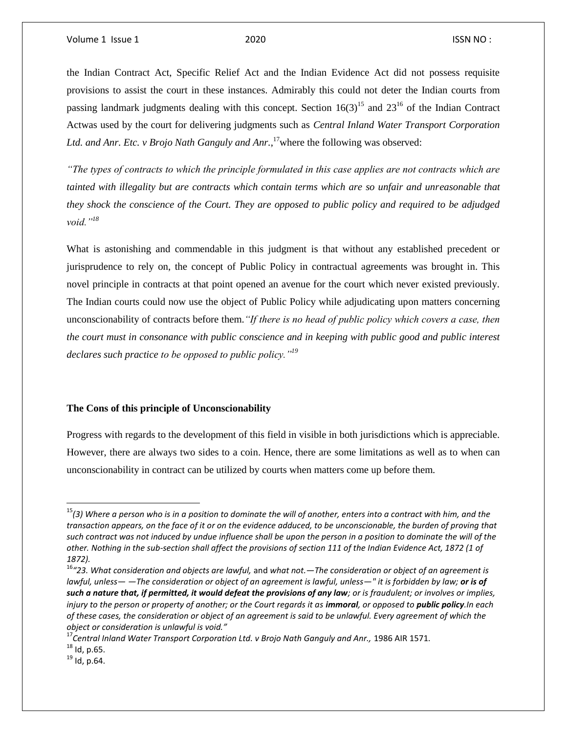the Indian Contract Act, Specific Relief Act and the Indian Evidence Act did not possess requisite provisions to assist the court in these instances. Admirably this could not deter the Indian courts from passing landmark judgments dealing with this concept. Section  $16(3)^{15}$  and  $23^{16}$  of the Indian Contract Actwas used by the court for delivering judgments such as *Central Inland Water Transport Corporation Ltd. and Anr. Etc. v Brojo Nath Ganguly and Anr.*, <sup>17</sup>where the following was observed:

*"The types of contracts to which the principle formulated in this case applies are not contracts which are tainted with illegality but are contracts which contain terms which are so unfair and unreasonable that they shock the conscience of the Court. They are opposed to public policy and required to be adjudged void."<sup>18</sup>*

What is astonishing and commendable in this judgment is that without any established precedent or jurisprudence to rely on, the concept of Public Policy in contractual agreements was brought in. This novel principle in contracts at that point opened an avenue for the court which never existed previously. The Indian courts could now use the object of Public Policy while adjudicating upon matters concerning unconscionability of contracts before them.*"If there is no head of public policy which covers a case, then the court must in consonance with public conscience and in keeping with public good and public interest declares such practice to be opposed to public policy."<sup>19</sup>*

#### **The Cons of this principle of Unconscionability**

Progress with regards to the development of this field in visible in both jurisdictions which is appreciable. However, there are always two sides to a coin. Hence, there are some limitations as well as to when can unconscionability in contract can be utilized by courts when matters come up before them.

<sup>15</sup>*(3) Where a person who is in a position to dominate the will of another, enters into a contract with him, and the transaction appears, on the face of it or on the evidence adduced, to be unconscionable, the burden of proving that such contract was not induced by undue influence shall be upon the person in a position to dominate the will of the other. Nothing in the sub-section shall affect the provisions of section 111 of the Indian Evidence Act, 1872 (1 of 1872).*

<sup>16</sup>*"23. What consideration and objects are lawful,* and *what not.—The consideration or object of an agreement is lawful, unless— —The consideration or object of an agreement is lawful, unless—" it is forbidden by law; or is of such a nature that, if permitted, it would defeat the provisions of any law; or is fraudulent; or involves or implies, injury to the person or property of another; or the Court regards it as <i>immoral*, or opposed to *public policy*. In each *of these cases, the consideration or object of an agreement is said to be unlawful. Every agreement of which the object or consideration is unlawful is void."*

<sup>&</sup>lt;sup>17</sup> Central Inland Water Transport Corporation Ltd. v Brojo Nath Ganguly and Anr., 1986 AIR 1571.  $^{18}$  Id, p.65.

 $^{19}$  Id, p.64.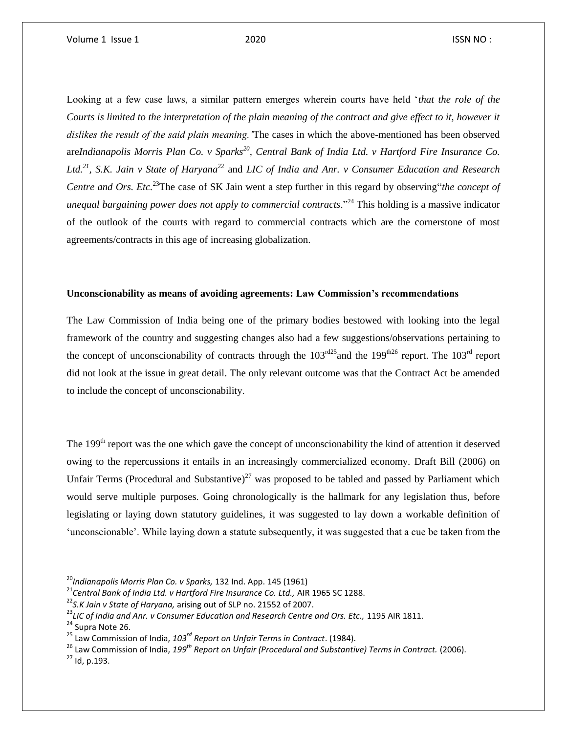Looking at a few case laws, a similar pattern emerges wherein courts have held '*that the role of the Courts is limited to the interpretation of the plain meaning of the contract and give effect to it, however it dislikes the result of the said plain meaning.'*The cases in which the above-mentioned has been observed are*Indianapolis Morris Plan Co. v Sparks<sup>20</sup>, Central Bank of India Ltd. v Hartford Fire Insurance Co.*  Ltd.<sup>21</sup>, S.K. Jain v State of Haryana<sup>22</sup> and LIC of India and Anr. v Consumer Education and Research *Centre and Ors. Etc.*<sup>23</sup>The case of SK Jain went a step further in this regard by observing"*the concept of unequal bargaining power does not apply to commercial contracts*."<sup>24</sup> This holding is a massive indicator of the outlook of the courts with regard to commercial contracts which are the cornerstone of most agreements/contracts in this age of increasing globalization.

#### **Unconscionability as means of avoiding agreements: Law Commission's recommendations**

The Law Commission of India being one of the primary bodies bestowed with looking into the legal framework of the country and suggesting changes also had a few suggestions/observations pertaining to the concept of unconscionability of contracts through the  $103^{rd25}$  and the 199<sup>th26</sup> report. The  $103^{rd}$  report did not look at the issue in great detail. The only relevant outcome was that the Contract Act be amended to include the concept of unconscionability.

The 199<sup>th</sup> report was the one which gave the concept of unconscionability the kind of attention it deserved owing to the repercussions it entails in an increasingly commercialized economy. Draft Bill (2006) on Unfair Terms (Procedural and Substantive)<sup>27</sup> was proposed to be tabled and passed by Parliament which would serve multiple purposes. Going chronologically is the hallmark for any legislation thus, before legislating or laying down statutory guidelines, it was suggested to lay down a workable definition of 'unconscionable'. While laying down a statute subsequently, it was suggested that a cue be taken from the

<sup>21</sup>*Central Bank of India Ltd. v Hartford Fire Insurance Co. Ltd.,* AIR 1965 SC 1288.

<sup>26</sup> Law Commission of India, *199th Report on Unfair (Procedural and Substantive) Terms in Contract.* (2006).

 $27$  Id, p.193.

<sup>20</sup>*Indianapolis Morris Plan Co. v Sparks,* 132 Ind. App. 145 (1961)

<sup>22</sup>*S.K Jain v State of Haryana,* arising out of SLP no. 21552 of 2007.

<sup>23</sup>*LIC of India and Anr. v Consumer Education and Research Centre and Ors. Etc.,* 1195 AIR 1811.

<sup>&</sup>lt;sup>24</sup> Supra Note 26.

<sup>25</sup> Law Commission of India, *103rd Report on Unfair Terms in Contract*. (1984).